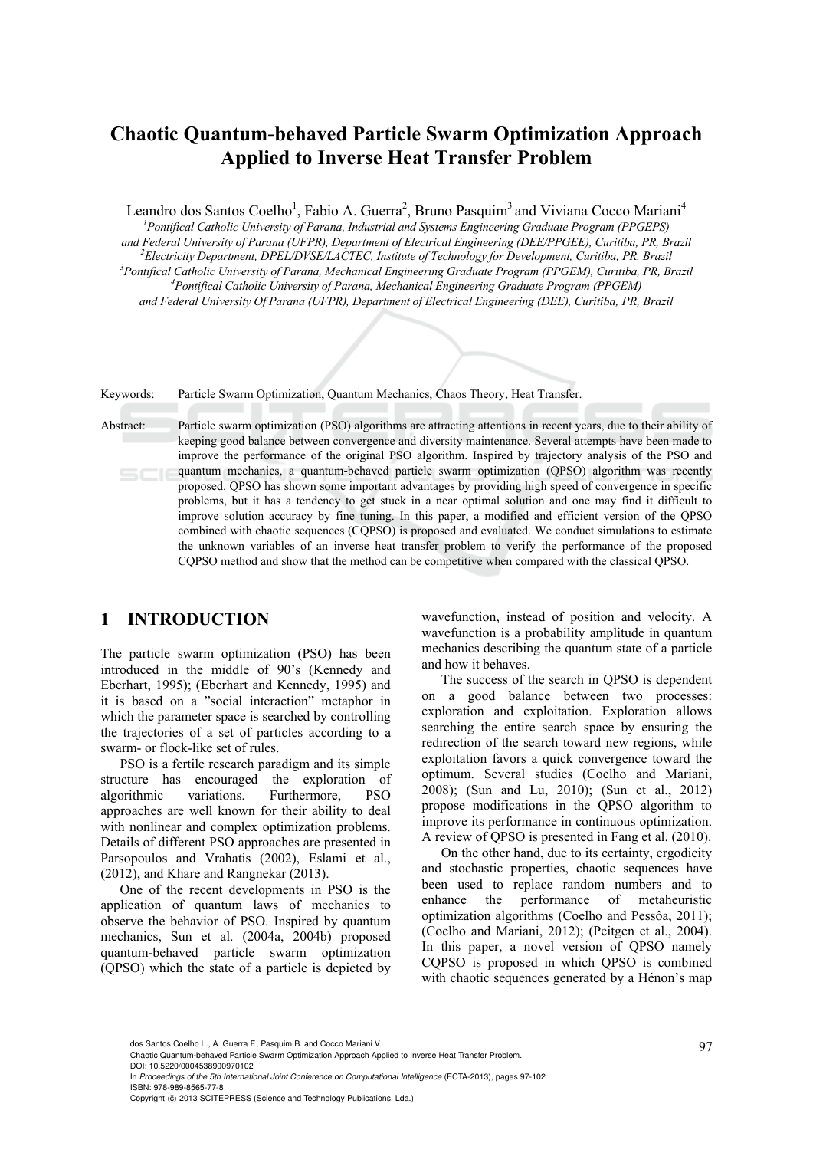# **Chaotic Quantum-behaved Particle Swarm Optimization Approach Applied to Inverse Heat Transfer Problem**

Leandro dos Santos Coelho<sup>1</sup>, Fabio A. Guerra<sup>2</sup>, Bruno Pasquim<sup>3</sup> and Viviana Cocco Mariani<sup>4</sup>

*1 Pontifical Catholic University of Parana, Industrial and Systems Engineering Graduate Program (PPGEPS) and Federal University of Parana (UFPR), Department of Electrical Engineering (DEE/PPGEE), Curitiba, PR, Brazil 2 Electricity Department, DPEL/DVSE/LACTEC, Institute of Technology for Development, Curitiba, PR, Brazil 3* <sup>3</sup> Pontifical Catholic University of Parana, Mechanical Engineering Graduate Program (PPGEM), Curitiba, PR, Brazil *Pontifical Catholic University of Parana, Mechanical Engineering Graduate Program (PPGEM) and Federal University Of Parana (UFPR), Department of Electrical Engineering (DEE), Curitiba, PR, Brazil* 

Keywords: Particle Swarm Optimization, Quantum Mechanics, Chaos Theory, Heat Transfer.

Abstract: Particle swarm optimization (PSO) algorithms are attracting attentions in recent years, due to their ability of keeping good balance between convergence and diversity maintenance. Several attempts have been made to improve the performance of the original PSO algorithm. Inspired by trajectory analysis of the PSO and quantum mechanics, a quantum-behaved particle swarm optimization (QPSO) algorithm was recently proposed. QPSO has shown some important advantages by providing high speed of convergence in specific problems, but it has a tendency to get stuck in a near optimal solution and one may find it difficult to improve solution accuracy by fine tuning. In this paper, a modified and efficient version of the QPSO combined with chaotic sequences (CQPSO) is proposed and evaluated. We conduct simulations to estimate the unknown variables of an inverse heat transfer problem to verify the performance of the proposed CQPSO method and show that the method can be competitive when compared with the classical QPSO.

## **1 INTRODUCTION**

The particle swarm optimization (PSO) has been introduced in the middle of 90's (Kennedy and Eberhart, 1995); (Eberhart and Kennedy, 1995) and it is based on a "social interaction" metaphor in which the parameter space is searched by controlling the trajectories of a set of particles according to a swarm- or flock-like set of rules.

PSO is a fertile research paradigm and its simple structure has encouraged the exploration of algorithmic variations. Furthermore, PSO approaches are well known for their ability to deal with nonlinear and complex optimization problems. Details of different PSO approaches are presented in Parsopoulos and Vrahatis (2002), Eslami et al., (2012), and Khare and Rangnekar (2013).

One of the recent developments in PSO is the application of quantum laws of mechanics to observe the behavior of PSO. Inspired by quantum mechanics, Sun et al. (2004a, 2004b) proposed quantum-behaved particle swarm optimization (QPSO) which the state of a particle is depicted by

wavefunction, instead of position and velocity. A wavefunction is a probability amplitude in quantum mechanics describing the quantum state of a particle and how it behaves.

The success of the search in QPSO is dependent on a good balance between two processes: exploration and exploitation. Exploration allows searching the entire search space by ensuring the redirection of the search toward new regions, while exploitation favors a quick convergence toward the optimum. Several studies (Coelho and Mariani, 2008); (Sun and Lu, 2010); (Sun et al., 2012) propose modifications in the QPSO algorithm to improve its performance in continuous optimization. A review of QPSO is presented in Fang et al. (2010).

On the other hand, due to its certainty, ergodicity and stochastic properties, chaotic sequences have been used to replace random numbers and to enhance the performance of metaheuristic optimization algorithms (Coelho and Pessôa, 2011); (Coelho and Mariani, 2012); (Peitgen et al., 2004). In this paper, a novel version of QPSO namely CQPSO is proposed in which QPSO is combined with chaotic sequences generated by a Hénon's map

dos Santos Coelho L., A. Guerra F., Pasquim B. and Cocco Mariani V..<br>Chaotic Quantum-behaved Particle Swarm Optimization Approach Applied to Inverse Heat Transfer Problem. DOI: 10.5220/0004538900970102

In *Proceedings of the 5th International Joint Conference on Computational Intelligence* (ECTA-2013), pages 97-102 ISBN: 978-989-8565-77-8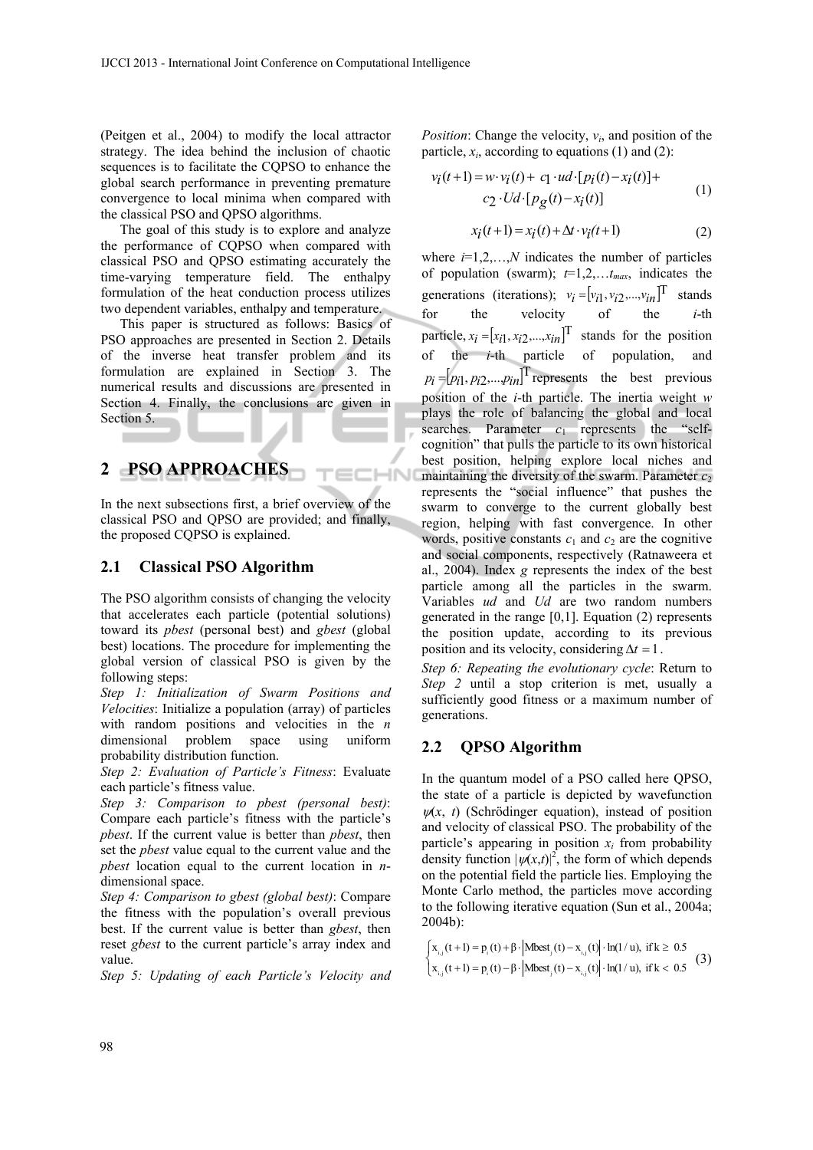(Peitgen et al., 2004) to modify the local attractor strategy. The idea behind the inclusion of chaotic sequences is to facilitate the CQPSO to enhance the global search performance in preventing premature convergence to local minima when compared with the classical PSO and QPSO algorithms.

The goal of this study is to explore and analyze the performance of CQPSO when compared with classical PSO and QPSO estimating accurately the time-varying temperature field. The enthalpy formulation of the heat conduction process utilizes two dependent variables, enthalpy and temperature.

This paper is structured as follows: Basics of PSO approaches are presented in Section 2. Details of the inverse heat transfer problem and its formulation are explained in Section 3. The numerical results and discussions are presented in Section 4. Finally, the conclusions are given in Section 5.

## **2 PSO APPROACHES**

In the next subsections first, a brief overview of the classical PSO and QPSO are provided; and finally, the proposed CQPSO is explained.

**IHN** 

#### **2.1 Classical PSO Algorithm**

The PSO algorithm consists of changing the velocity that accelerates each particle (potential solutions) toward its *pbest* (personal best) and *gbest* (global best) locations. The procedure for implementing the global version of classical PSO is given by the following steps:

*Step 1: Initialization of Swarm Positions and Velocities*: Initialize a population (array) of particles with random positions and velocities in the *n* dimensional problem space using uniform dimensional problem space using uniform probability distribution function.

*Step 2: Evaluation of Particle's Fitness*: Evaluate each particle's fitness value.

*Step 3: Comparison to pbest (personal best)*: Compare each particle's fitness with the particle's *pbest*. If the current value is better than *pbest*, then set the *pbest* value equal to the current value and the *pbest* location equal to the current location in *n*dimensional space.

*Step 4: Comparison to gbest (global best)*: Compare the fitness with the population's overall previous best. If the current value is better than *gbest*, then reset *gbest* to the current particle's array index and value.

*Step 5: Updating of each Particle's Velocity and* 

*Position*: Change the velocity,  $v_i$ , and position of the particle,  $x_i$ , according to equations (1) and (2):

$$
v_i(t+1) = w \cdot v_i(t) + c_1 \cdot ud \cdot [p_i(t) - x_i(t)] +c_2 \cdot Ud \cdot [p_g(t) - x_i(t)]
$$
 (1)

$$
x_i(t+1) = x_i(t) + \Delta t \cdot v_i(t+1)
$$
\n(2)

where  $i=1,2,...,N$  indicates the number of particles of population (swarm);  $t=1,2,...,t_{max}$ , indicates the generations (iterations);  $v_i = [v_{i1}, v_{i2}, ..., v_{in}]^T$  stands for the velocity of the *i*-th particle,  $x_i = [x_{i1}, x_{i2}, \dots, x_{in}]^T$  stands for the position of the  $i$ -th particle of population,  $p_i = [p_{i1}, p_{i2}, \dots, p_{in}]$ <sup>T</sup> represents the best previous position of the *i*-th particle. The inertia weight *w*  plays the role of balancing the global and local searches. Parameter  $c_1$  represents the "selfcognition" that pulls the particle to its own historical best position, helping explore local niches and maintaining the diversity of the swarm. Parameter  $c_2$ represents the "social influence" that pushes the swarm to converge to the current globally best region, helping with fast convergence. In other words, positive constants  $c_1$  and  $c_2$  are the cognitive and social components, respectively (Ratnaweera et al., 2004). Index *g* represents the index of the best particle among all the particles in the swarm. Variables *ud* and *Ud* are two random numbers generated in the range  $[0,1]$ . Equation (2) represents the position update, according to its previous position and its velocity, considering  $\Delta t = 1$ .

*Step 6: Repeating the evolutionary cycle*: Return to *Step 2* until a stop criterion is met, usually a sufficiently good fitness or a maximum number of generations.

### **2.2 QPSO Algorithm**

In the quantum model of a PSO called here QPSO, the state of a particle is depicted by wavefunction  $\psi(x, t)$  (Schrödinger equation), instead of position and velocity of classical PSO. The probability of the particle's appearing in position  $x_i$  from probability density function  $|\psi(x,t)|^2$ , the form of which depends on the potential field the particle lies. Employing the Monte Carlo method, the particles move according to the following iterative equation (Sun et al., 2004a; 2004b):

$$
\begin{cases} x_{i,j}(t+1) = p_i(t) + \beta \cdot | \text{Mbest}_j(t) - x_{i,j}(t) | \cdot \ln(1/u), \text{ if } k \ge 0.5\\ x_{i,j}(t+1) = p_i(t) - \beta \cdot | \text{Mbest}_j(t) - x_{i,j}(t) | \cdot \ln(1/u), \text{ if } k < 0.5 \end{cases} (3)
$$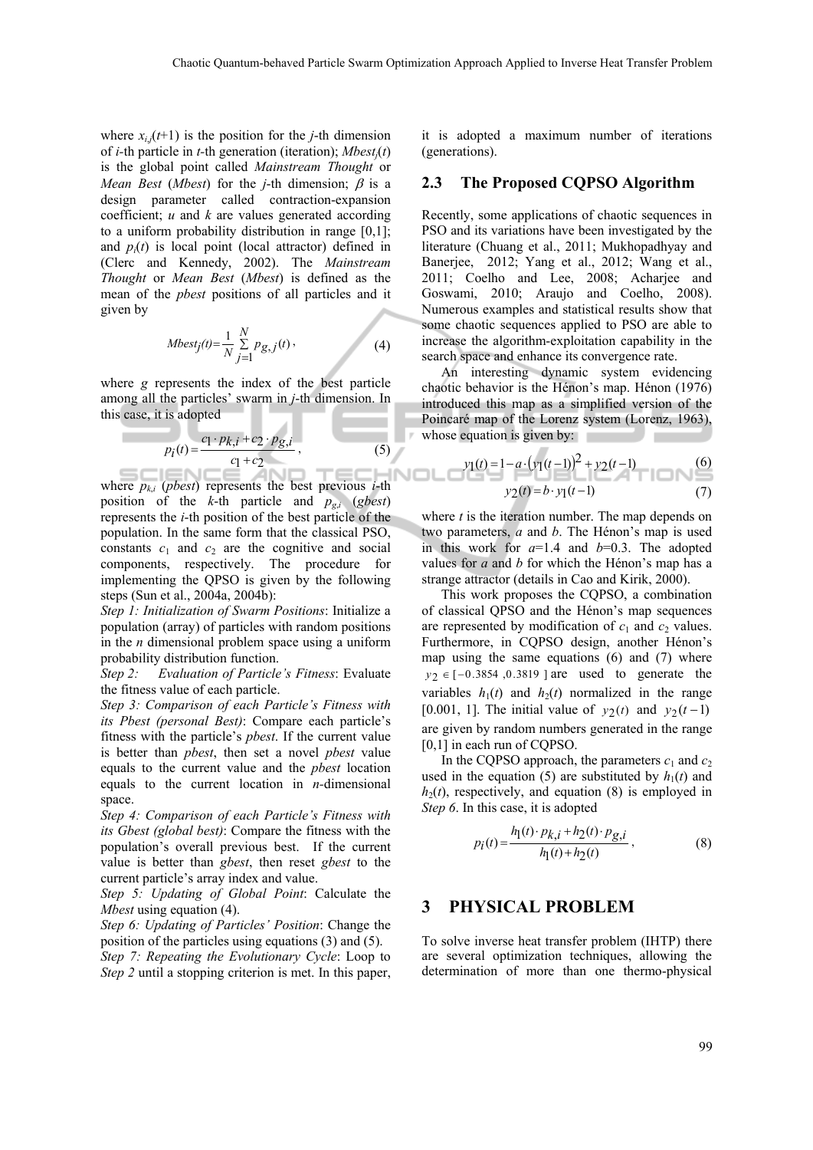where  $x_{i,j}(t+1)$  is the position for the *j*-th dimension of *i-*th particle in *t-*th generation (iteration); *Mbestj*(*t*) is the global point called *Mainstream Thought* or *Mean Best* (*Mbest*) for the *j*-th dimension;  $\beta$  is a design parameter called contraction-expansion coefficient; *u* and *k* are values generated according to a uniform probability distribution in range [0,1]; and  $p_i(t)$  is local point (local attractor) defined in (Clerc and Kennedy, 2002). The *Mainstream Thought* or *Mean Best* (*Mbest*) is defined as the mean of the *pbest* positions of all particles and it given by

$$
Mbest_j(t) = \frac{1}{N} \sum_{j=1}^{N} p_{g,j}(t) \,,
$$
 (4)

where *g* represents the index of the best particle among all the particles' swarm in *j*-th dimension. In this case, it is adopted

$$
p_i(t) = \frac{c_1 \cdot p_{k,i} + c_2 \cdot p_{g,i}}{c_1 + c_2},
$$
 (5)

where  $p_{ki}$  (*pbest*) represents the best previous *i*-th position of the *k*-th particle and  $p_{g,i}$  (*gbest*) represents the *i*-th position of the best particle of the population. In the same form that the classical PSO, constants  $c_1$  and  $c_2$  are the cognitive and social components, respectively. The procedure for implementing the QPSO is given by the following steps (Sun et al., 2004a, 2004b):

*Step 1: Initialization of Swarm Positions*: Initialize a population (array) of particles with random positions in the *n* dimensional problem space using a uniform probability distribution function.

*Step 2: Evaluation of Particle's Fitness*: Evaluate the fitness value of each particle.

*Step 3: Comparison of each Particle's Fitness with its Pbest (personal Best)*: Compare each particle's fitness with the particle's *pbest*. If the current value is better than *pbest*, then set a novel *pbest* value equals to the current value and the *pbest* location equals to the current location in *n-*dimensional space.

*Step 4: Comparison of each Particle's Fitness with its Gbest (global best)*: Compare the fitness with the population's overall previous best. If the current value is better than *gbest*, then reset *gbest* to the current particle's array index and value.

*Step 5: Updating of Global Point*: Calculate the *Mbest* using equation (4).

*Step 6: Updating of Particles' Position*: Change the position of the particles using equations (3) and (5).

*Step 7: Repeating the Evolutionary Cycle*: Loop to *Step 2* until a stopping criterion is met. In this paper,

it is adopted a maximum number of iterations (generations).

#### **2.3 The Proposed CQPSO Algorithm**

Recently, some applications of chaotic sequences in PSO and its variations have been investigated by the literature (Chuang et al., 2011; Mukhopadhyay and Banerjee, 2012; Yang et al., 2012; Wang et al., 2011; Coelho and Lee, 2008; Acharjee and Goswami, 2010; Araujo and Coelho, 2008). Numerous examples and statistical results show that some chaotic sequences applied to PSO are able to increase the algorithm-exploitation capability in the search space and enhance its convergence rate.

An interesting dynamic system evidencing chaotic behavior is the Hénon's map. Hénon (1976) introduced this map as a simplified version of the Poincaré map of the Lorenz system (Lorenz, 1963), whose equation is given by:

$$
y_1(t) = 1 - a \cdot (y_1(t-1))^2 + y_2(t-1)
$$
  

$$
y_2(t) = b \cdot y_1(t-1)
$$
 (7)

where *t* is the iteration number. The map depends on two parameters, *a* and *b*. The Hénon's map is used in this work for  $a=1.4$  and  $b=0.3$ . The adopted values for *a* and *b* for which the Hénon's map has a strange attractor (details in Cao and Kirik, 2000).

This work proposes the CQPSO, a combination of classical QPSO and the Hénon's map sequences are represented by modification of  $c_1$  and  $c_2$  values. Furthermore, in CQPSO design, another Hénon's map using the same equations (6) and (7) where  $y_2 \in [-0.3854, 0.3819]$  are used to generate the variables  $h_1(t)$  and  $h_2(t)$  normalized in the range [0.001, 1]. The initial value of  $y_2(t)$  and  $y_2(t-1)$ are given by random numbers generated in the range [0,1] in each run of CQPSO.

In the CQPSO approach, the parameters  $c_1$  and  $c_2$ used in the equation (5) are substituted by  $h_1(t)$  and  $h_2(t)$ , respectively, and equation (8) is employed in *Step 6*. In this case, it is adopted

$$
p_i(t) = \frac{h_1(t) \cdot p_{k,i} + h_2(t) \cdot p_{g,i}}{h_1(t) + h_2(t)},
$$
\n(8)

### **3 PHYSICAL PROBLEM**

To solve inverse heat transfer problem (IHTP) there are several optimization techniques, allowing the determination of more than one thermo-physical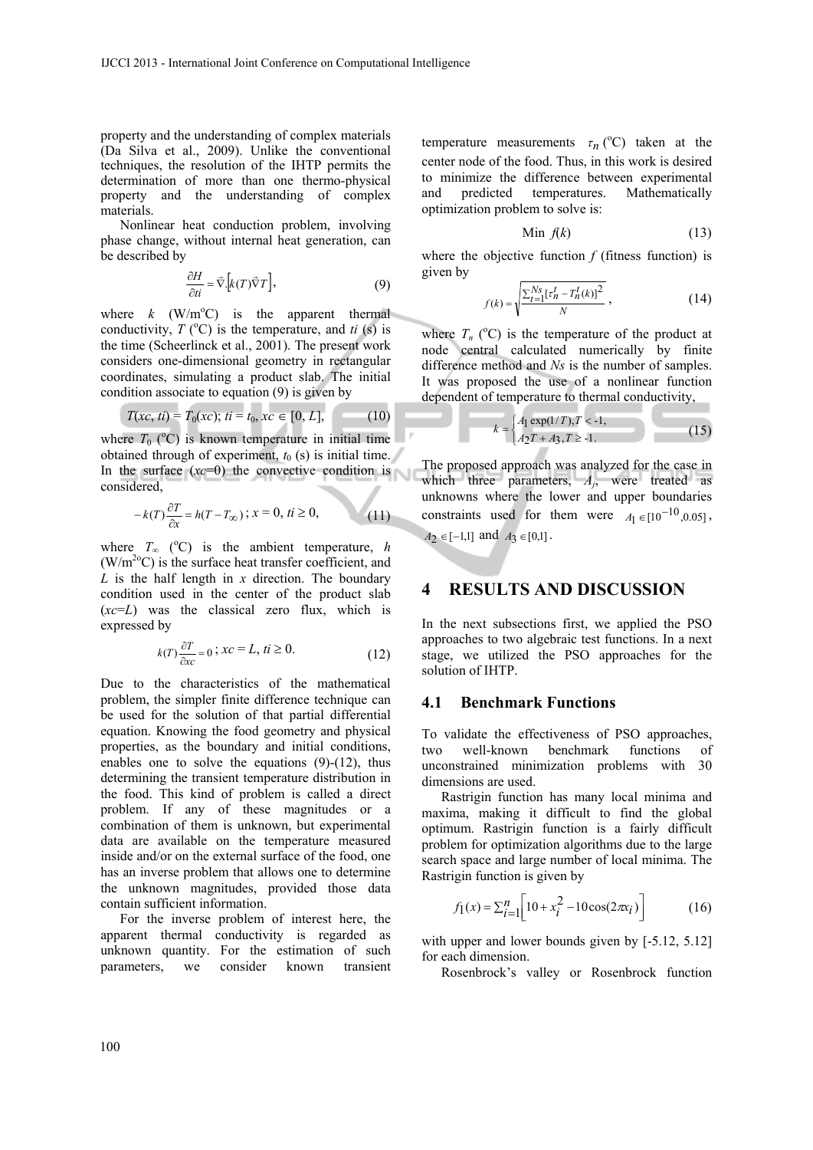property and the understanding of complex materials (Da Silva et al., 2009). Unlike the conventional techniques, the resolution of the IHTP permits the determination of more than one thermo-physical property and the understanding of complex materials.

Nonlinear heat conduction problem, involving phase change, without internal heat generation, can be described by

$$
\frac{\partial H}{\partial t i} = \vec{\nabla} \Big[ k(T) \vec{\nabla} T \Big],\tag{9}
$$

where  $k$  (W/m<sup>o</sup>C) is the apparent thermal conductivity,  $T({}^{\circ}C)$  is the temperature, and *ti* (s) is the time (Scheerlinck et al., 2001). The present work considers one-dimensional geometry in rectangular coordinates, simulating a product slab. The initial condition associate to equation (9) is given by

$$
T(xc, ti) = T_0(xc); ti = t_0, xc \in [0, L],
$$
 (10)

where  $T_0$  ( $\rm{^o}$ C) is known temperature in initial time obtained through of experiment,  $t_0$  (s) is initial time. In the surface  $(xc=0)$  the convective condition is considered,

$$
-k(T)\frac{\partial T}{\partial x} = h(T - T_{\infty}); x = 0, \, \text{if } \ge 0,\tag{11}
$$

where  $T_{\infty}$  (°C) is the ambient temperature, *h*  $(W/m^{20}C)$  is the surface heat transfer coefficient, and  $\hat{L}$  is the half length in *x* direction. The boundary condition used in the center of the product slab  $(xc=L)$  was the classical zero flux, which is expressed by

$$
k(T)\frac{\partial T}{\partial x c} = 0 \; ; \; xc = L, \; ti \ge 0. \tag{12}
$$

Due to the characteristics of the mathematical problem, the simpler finite difference technique can be used for the solution of that partial differential equation. Knowing the food geometry and physical properties, as the boundary and initial conditions, enables one to solve the equations (9)-(12), thus determining the transient temperature distribution in the food. This kind of problem is called a direct problem. If any of these magnitudes or a combination of them is unknown, but experimental data are available on the temperature measured inside and/or on the external surface of the food, one has an inverse problem that allows one to determine the unknown magnitudes, provided those data contain sufficient information.

For the inverse problem of interest here, the apparent thermal conductivity is regarded as unknown quantity. For the estimation of such parameters, we consider known transient

temperature measurements  $\tau_n$  (<sup>o</sup>C) taken at the center node of the food. Thus, in this work is desired to minimize the difference between experimental and predicted temperatures. Mathematically optimization problem to solve is:

$$
\text{Min } f(k) \tag{13}
$$

where the objective function  $f$  (fitness function) is given by

$$
f(k) = \sqrt{\frac{\sum_{t=1}^{N_s} [t_n^t - T_n^t(k)]^2}{N}} \,,\tag{14}
$$

where  $T_n$  ( ${}^{\circ}$ C) is the temperature of the product at node central calculated numerically by finite difference method and *Ns* is the number of samples. It was proposed the use of a nonlinear function dependent of temperature to thermal conductivity,

$$
k = \begin{cases} A_1 \exp(1/T), T < -1, \\ A_2 T + A_3, T \ge 1. \end{cases}
$$
 (15)

The proposed approach was analyzed for the case in which three parameters,  $A_i$ , were treated as unknowns where the lower and upper boundaries constraints used for them were  $A_1 \in [10^{-10}, 0.05]$ ,  $A_2 \in [-1,1]$  and  $A_3 \in [0,1]$ .

### **4 RESULTS AND DISCUSSION**

In the next subsections first, we applied the PSO approaches to two algebraic test functions. In a next stage, we utilized the PSO approaches for the solution of IHTP.

#### **4.1 Benchmark Functions**

To validate the effectiveness of PSO approaches, two well-known benchmark functions of unconstrained minimization problems with 30 dimensions are used.

Rastrigin function has many local minima and maxima, making it difficult to find the global optimum. Rastrigin function is a fairly difficult problem for optimization algorithms due to the large search space and large number of local minima. The Rastrigin function is given by

$$
f_1(x) = \sum_{i=1}^{n} \left[ 10 + x_i^2 - 10\cos(2\pi x_i) \right]
$$
 (16)

with upper and lower bounds given by  $[-5.12, 5.12]$ for each dimension.

Rosenbrock's valley or Rosenbrock function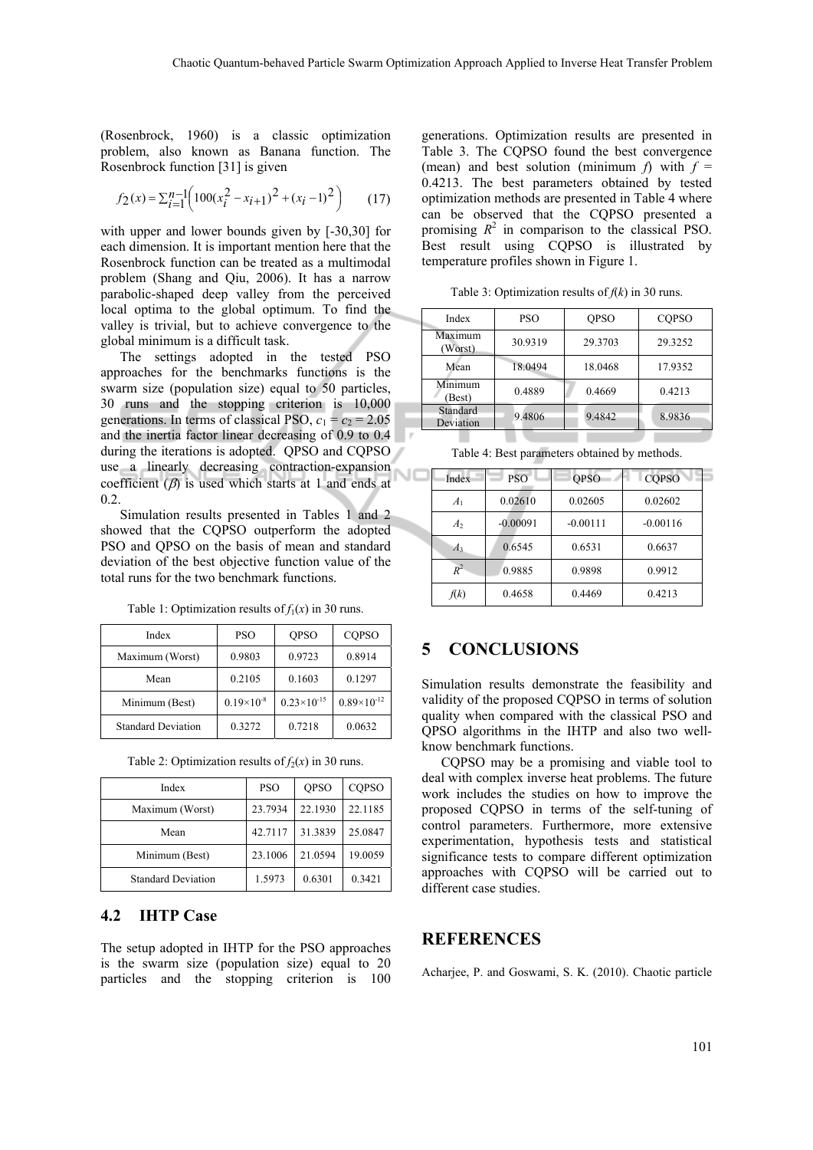мc

(Rosenbrock, 1960) is a classic optimization problem, also known as Banana function. The Rosenbrock function [31] is given

$$
f_2(x) = \sum_{i=1}^{n-1} \left( 100(x_i^2 - x_{i+1})^2 + (x_i - 1)^2 \right) \tag{17}
$$

with upper and lower bounds given by [-30,30] for each dimension. It is important mention here that the Rosenbrock function can be treated as a multimodal problem (Shang and Qiu, 2006). It has a narrow parabolic-shaped deep valley from the perceived local optima to the global optimum. To find the valley is trivial, but to achieve convergence to the global minimum is a difficult task.

The settings adopted in the tested PSO approaches for the benchmarks functions is the swarm size (population size) equal to 50 particles, 30 runs and the stopping criterion is 10,000 generations. In terms of classical PSO,  $c_1 = c_2 = 2.05$ and the inertia factor linear decreasing of 0.9 to 0.4 during the iterations is adopted. QPSO and CQPSO use a linearly decreasing contraction-expansion coefficient  $(\beta)$  is used which starts at 1 and ends at 0.2.

Simulation results presented in Tables 1 and 2 showed that the CQPSO outperform the adopted PSO and QPSO on the basis of mean and standard deviation of the best objective function value of the total runs for the two benchmark functions.

Table 1: Optimization results of  $f_1(x)$  in 30 runs.

| Index                     | <b>PSO</b>          | <b>OPSO</b>          | <b>COPSO</b>         |
|---------------------------|---------------------|----------------------|----------------------|
| Maximum (Worst)           | 0.9803              | 0.9723               | 0.8914               |
| Mean                      | 0.2105              | 0.1603               | 0.1297               |
| Minimum (Best)            | $0.19\times10^{-8}$ | $0.23\times10^{-15}$ | $0.89\times10^{-12}$ |
| <b>Standard Deviation</b> | 0.3272              | 0.7218               | 0.0632               |

| Table 2: Optimization results of $f_2(x)$ in 30 runs. |  |
|-------------------------------------------------------|--|
|-------------------------------------------------------|--|

| Index                     | <b>PSO</b> | <b>OPSO</b> | <b>COPSO</b> |
|---------------------------|------------|-------------|--------------|
| Maximum (Worst)           | 23.7934    | 22.1930     | 22.1185      |
| Mean                      | 42.7117    | 31.3839     | 25.0847      |
| Minimum (Best)            | 23.1006    | 21.0594     | 19.0059      |
| <b>Standard Deviation</b> | 1.5973     | 0.6301      | 0.3421       |

#### **4.2 IHTP Case**

The setup adopted in IHTP for the PSO approaches is the swarm size (population size) equal to 20 particles and the stopping criterion is 100

generations. Optimization results are presented in Table 3. The CQPSO found the best convergence (mean) and best solution (minimum  $f$ ) with  $f =$ 0.4213. The best parameters obtained by tested optimization methods are presented in Table 4 where can be observed that the CQPSO presented a promising  $R^2$  in comparison to the classical PSO. Best result using CQPSO is illustrated by temperature profiles shown in Figure 1.

Table 3: Optimization results of  $f(k)$  in 30 runs.

| Index                 | <b>PSO</b> | <b>OPSO</b> | <b>COPSO</b> |
|-----------------------|------------|-------------|--------------|
| Maximum<br>(Worst)    | 30.9319    | 29.3703     | 29.3252      |
| Mean                  | 18.0494    | 18.0468     | 17.9352      |
| Minimum<br>(Best)     | 0.4889     | 0.4669      | 0.4213       |
| Standard<br>Deviation | 9.4806     | 9.4842      | 8.9836       |

Table 4: Best parameters obtained by methods.

| Index          | <b>PSO</b> | <b>OPSO</b> | <b>COPSO</b> |
|----------------|------------|-------------|--------------|
| A <sub>1</sub> | 0.02610    | 0.02605     | 0.02602      |
| A <sub>2</sub> | $-0.00091$ | $-0.00111$  | $-0.00116$   |
| $A_3$          | 0.6545     | 0.6531      | 0.6637       |
| $R^2$          | 0.9885     | 0.9898      | 0.9912       |
| f(k)           | 0.4658     | 0.4469      | 0.4213       |

### **5 CONCLUSIONS**

Simulation results demonstrate the feasibility and validity of the proposed CQPSO in terms of solution quality when compared with the classical PSO and QPSO algorithms in the IHTP and also two wellknow benchmark functions.

CQPSO may be a promising and viable tool to deal with complex inverse heat problems. The future work includes the studies on how to improve the proposed CQPSO in terms of the self-tuning of control parameters. Furthermore, more extensive experimentation, hypothesis tests and statistical significance tests to compare different optimization approaches with CQPSO will be carried out to different case studies.

### **REFERENCES**

Acharjee, P. and Goswami, S. K. (2010). Chaotic particle